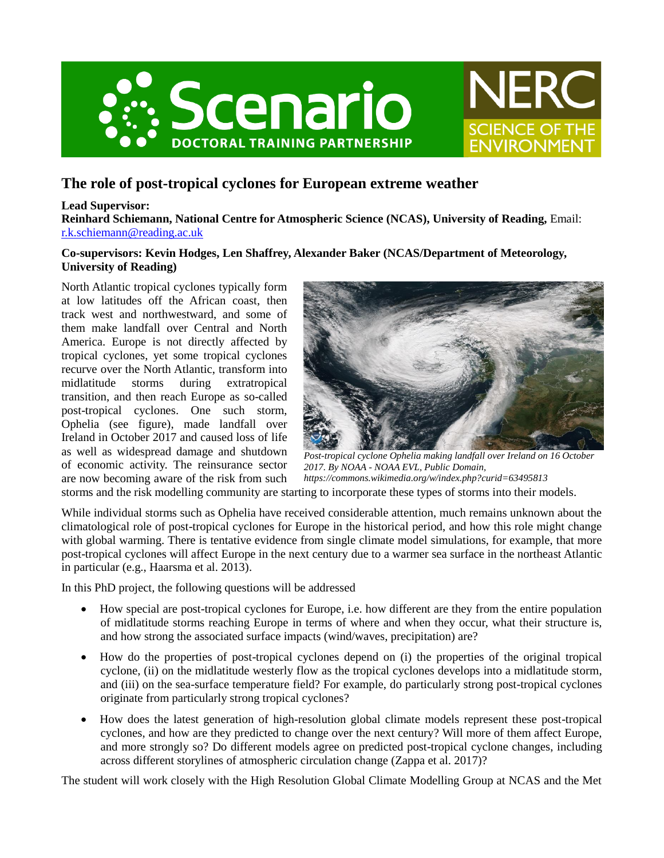



# **The role of post-tropical cyclones for European extreme weather**

## **Lead Supervisor:**

**Reinhard Schiemann, National Centre for Atmospheric Science (NCAS), University of Reading,** Email: [r.k.schiemann@reading.ac.uk](mailto:r.k.schiemann@reading.ac.uk)

# **Co-supervisors: Kevin Hodges, Len Shaffrey, Alexander Baker (NCAS/Department of Meteorology, University of Reading)**

North Atlantic tropical cyclones typically form at low latitudes off the African coast, then track west and northwestward, and some of them make landfall over Central and North America. Europe is not directly affected by tropical cyclones, yet some tropical cyclones recurve over the North Atlantic, transform into midlatitude storms during extratropical transition, and then reach Europe as so-called post-tropical cyclones. One such storm, Ophelia (see figure), made landfall over Ireland in October 2017 and caused loss of life as well as widespread damage and shutdown of economic activity. The reinsurance sector are now becoming aware of the risk from such



*Post-tropical cyclone Ophelia making landfall over Ireland on 16 October 2017. By NOAA - NOAA EVL, Public Domain, https://commons.wikimedia.org/w/index.php?curid=63495813*

storms and the risk modelling community are starting to incorporate these types of storms into their models.

While individual storms such as Ophelia have received considerable attention, much remains unknown about the climatological role of post-tropical cyclones for Europe in the historical period, and how this role might change with global warming. There is tentative evidence from single climate model simulations, for example, that more post-tropical cyclones will affect Europe in the next century due to a warmer sea surface in the northeast Atlantic in particular (e.g., Haarsma et al. 2013).

In this PhD project, the following questions will be addressed

- How special are post-tropical cyclones for Europe, i.e. how different are they from the entire population of midlatitude storms reaching Europe in terms of where and when they occur, what their structure is, and how strong the associated surface impacts (wind/waves, precipitation) are?
- How do the properties of post-tropical cyclones depend on (i) the properties of the original tropical cyclone, (ii) on the midlatitude westerly flow as the tropical cyclones develops into a midlatitude storm, and (iii) on the sea-surface temperature field? For example, do particularly strong post-tropical cyclones originate from particularly strong tropical cyclones?
- How does the latest generation of high-resolution global climate models represent these post-tropical cyclones, and how are they predicted to change over the next century? Will more of them affect Europe, and more strongly so? Do different models agree on predicted post-tropical cyclone changes, including across different storylines of atmospheric circulation change (Zappa et al. 2017)?

The student will work closely with the High Resolution Global Climate Modelling Group at NCAS and the Met